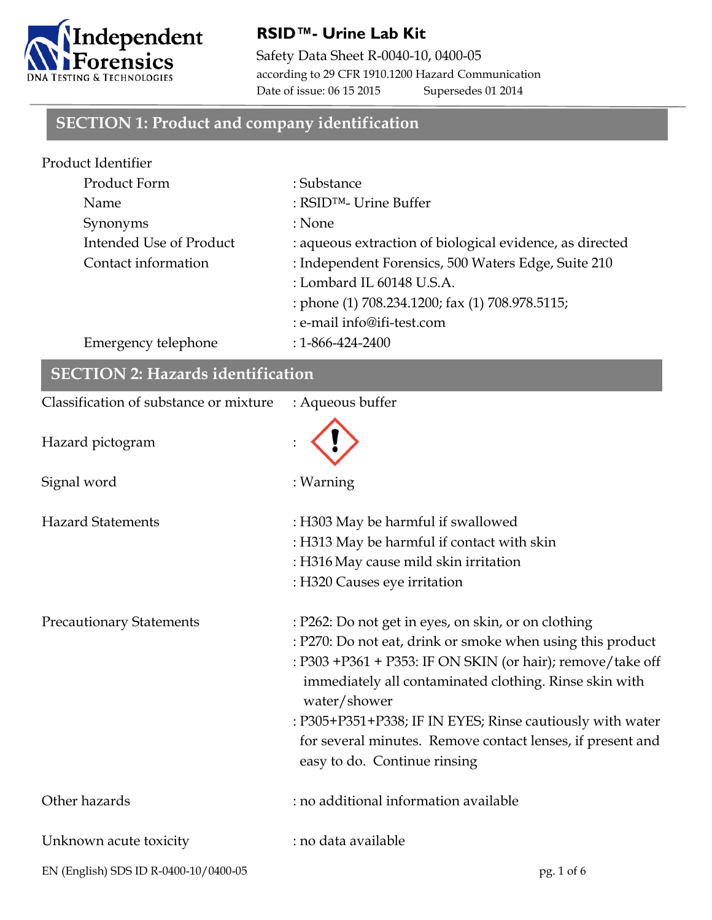

#### **RSID™- Urine Lab Kit**

Safety Data Sheet R-0040-10, 0400-05 according to 29 CFR 1910.1200 Hazard Communication Date of issue: 06 15 2015 Supersedes 01 2014

## **SECTION 1: Product and company identification**

| Product Identifier      |                                                          |
|-------------------------|----------------------------------------------------------|
| Product Form            | : Substance                                              |
| Name                    | : RSID <sup>TM</sup> - Urine Buffer                      |
| Synonyms                | : None                                                   |
| Intended Use of Product | : aqueous extraction of biological evidence, as directed |
| Contact information     | : Independent Forensics, 500 Waters Edge, Suite 210      |
|                         | : Lombard IL 60148 U.S.A.                                |
|                         | : phone (1) 708.234.1200; fax (1) 708.978.5115;          |
|                         | : e-mail info@ifi-test.com                               |
| Emergency telephone     | $: 1 - 866 - 424 - 2400$                                 |
|                         |                                                          |

| <b>SECTION 2: Hazards identification</b> |                                                                                                                                                                                                                                                                                                                                                                                                                      |  |
|------------------------------------------|----------------------------------------------------------------------------------------------------------------------------------------------------------------------------------------------------------------------------------------------------------------------------------------------------------------------------------------------------------------------------------------------------------------------|--|
| Classification of substance or mixture   | : Aqueous buffer                                                                                                                                                                                                                                                                                                                                                                                                     |  |
| Hazard pictogram                         |                                                                                                                                                                                                                                                                                                                                                                                                                      |  |
| Signal word                              | : Warning                                                                                                                                                                                                                                                                                                                                                                                                            |  |
| <b>Hazard Statements</b>                 | : H303 May be harmful if swallowed<br>: H313 May be harmful if contact with skin<br>: H316 May cause mild skin irritation<br>: H320 Causes eye irritation                                                                                                                                                                                                                                                            |  |
| <b>Precautionary Statements</b>          | : P262: Do not get in eyes, on skin, or on clothing<br>: P270: Do not eat, drink or smoke when using this product<br>: P303 +P361 + P353: IF ON SKIN (or hair); remove/take off<br>immediately all contaminated clothing. Rinse skin with<br>water/shower<br>: P305+P351+P338; IF IN EYES; Rinse cautiously with water<br>for several minutes. Remove contact lenses, if present and<br>easy to do. Continue rinsing |  |
| Other hazards                            | : no additional information available                                                                                                                                                                                                                                                                                                                                                                                |  |
| Unknown acute toxicity                   | : no data available                                                                                                                                                                                                                                                                                                                                                                                                  |  |
| EN (English) SDS ID R-0400-10/0400-05    | pg. 1 of 6                                                                                                                                                                                                                                                                                                                                                                                                           |  |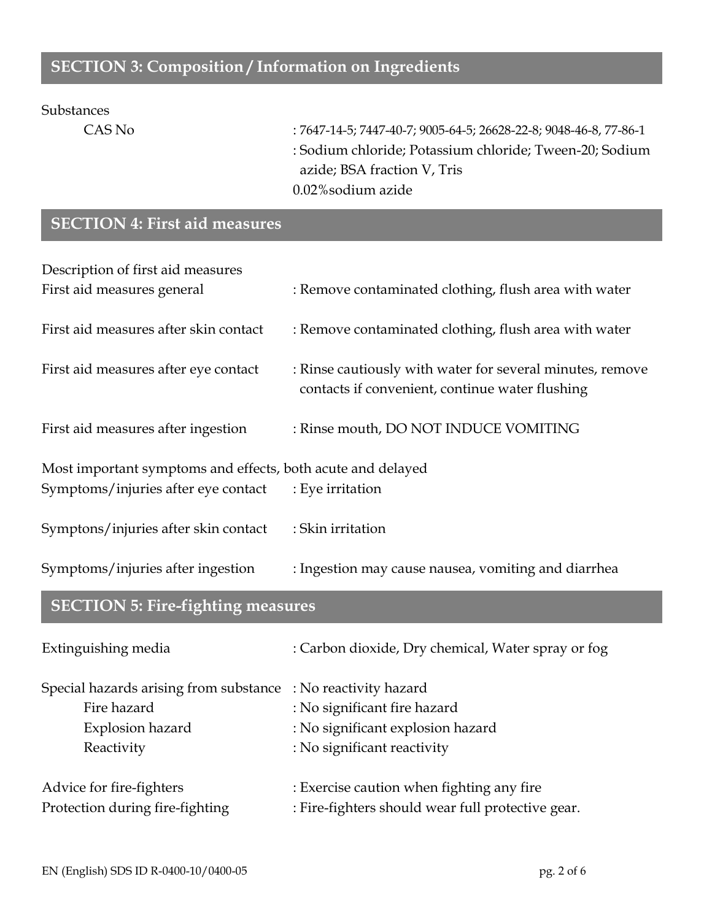## **SECTION 3: Composition / Information on Ingredients**

#### Substances

CAS No : 7647-14-5; 7447-40-7; 9005-64-5; 26628-22-8; 9048-46-8, 77-86-1 : Sodium chloride; Potassium chloride; Tween-20; Sodium azide; BSA fraction V, Tris 0.02%sodium azide

## **SECTION 4: First aid measures**

| Description of first aid measures                           |                                                                                                              |  |
|-------------------------------------------------------------|--------------------------------------------------------------------------------------------------------------|--|
| First aid measures general                                  | : Remove contaminated clothing, flush area with water                                                        |  |
| First aid measures after skin contact                       | : Remove contaminated clothing, flush area with water                                                        |  |
| First aid measures after eye contact                        | : Rinse cautiously with water for several minutes, remove<br>contacts if convenient, continue water flushing |  |
| First aid measures after ingestion                          | : Rinse mouth, DO NOT INDUCE VOMITING                                                                        |  |
| Most important symptoms and effects, both acute and delayed |                                                                                                              |  |
| Symptoms/injuries after eye contact                         | : Eye irritation                                                                                             |  |
| Symptons/injuries after skin contact                        | : Skin irritation                                                                                            |  |
| Symptoms/injuries after ingestion                           | : Ingestion may cause nausea, vomiting and diarrhea                                                          |  |

## **SECTION 5: Fire-fighting measures**

| Extinguishing media                                           | : Carbon dioxide, Dry chemical, Water spray or fog |
|---------------------------------------------------------------|----------------------------------------------------|
| Special hazards arising from substance : No reactivity hazard |                                                    |
| Fire hazard                                                   | : No significant fire hazard                       |
| Explosion hazard                                              | : No significant explosion hazard                  |
| Reactivity                                                    | : No significant reactivity                        |
| Advice for fire-fighters                                      | : Exercise caution when fighting any fire          |
| Protection during fire-fighting                               | : Fire-fighters should wear full protective gear.  |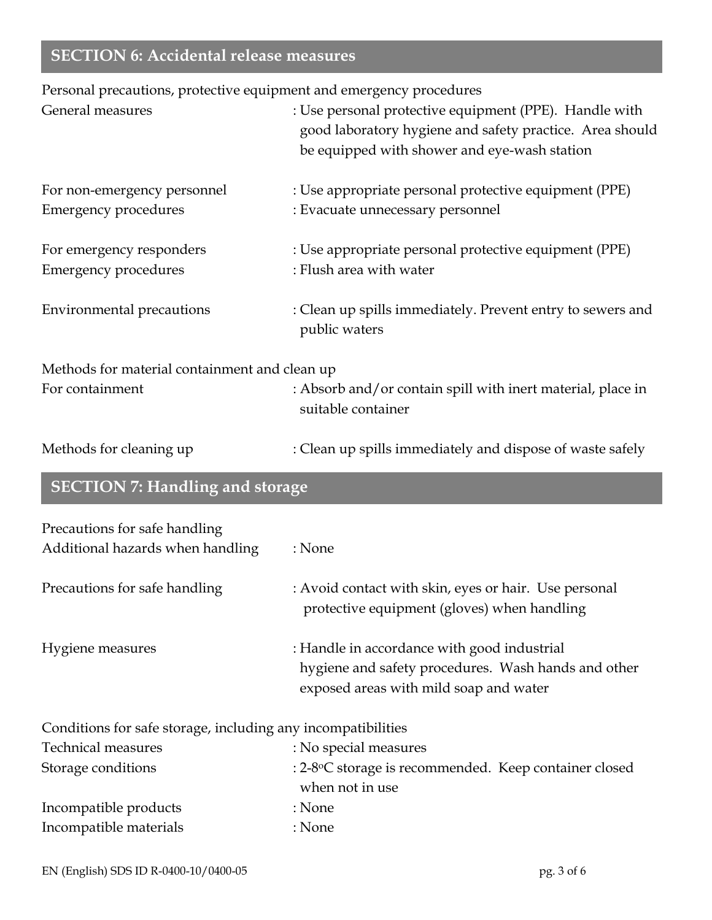# **SECTION 6: Accidental release measures**

Personal precautions, protective equipment and emergency procedures

| General measures                                                  | : Use personal protective equipment (PPE). Handle with<br>good laboratory hygiene and safety practice. Area should<br>be equipped with shower and eye-wash station |
|-------------------------------------------------------------------|--------------------------------------------------------------------------------------------------------------------------------------------------------------------|
| For non-emergency personnel<br><b>Emergency procedures</b>        | : Use appropriate personal protective equipment (PPE)<br>: Evacuate unnecessary personnel                                                                          |
| For emergency responders<br><b>Emergency procedures</b>           | : Use appropriate personal protective equipment (PPE)<br>: Flush area with water                                                                                   |
| <b>Environmental precautions</b>                                  | : Clean up spills immediately. Prevent entry to sewers and<br>public waters                                                                                        |
| Methods for material containment and clean up                     |                                                                                                                                                                    |
| For containment                                                   | : Absorb and/or contain spill with inert material, place in<br>suitable container                                                                                  |
| Methods for cleaning up                                           | : Clean up spills immediately and dispose of waste safely                                                                                                          |
| <b>SECTION 7: Handling and storage</b>                            |                                                                                                                                                                    |
| Precautions for safe handling<br>Additional hazards when handling | : None                                                                                                                                                             |
| Precautions for safe handling                                     | : Avoid contact with skin, eyes or hair. Use personal<br>protective equipment (gloves) when handling                                                               |
| Hygiene measures                                                  | : Handle in accordance with good industrial<br>hygiene and safety procedures. Wash hands and other<br>exposed areas with mild soap and water                       |
| Conditions for safe storage, including any incompatibilities      |                                                                                                                                                                    |
| <b>Technical measures</b>                                         | : No special measures                                                                                                                                              |
| Storage conditions                                                | : 2-8°C storage is recommended. Keep container closed<br>when not in use                                                                                           |
| Incompatible products                                             | : None                                                                                                                                                             |
| Incompatible materials                                            | : None                                                                                                                                                             |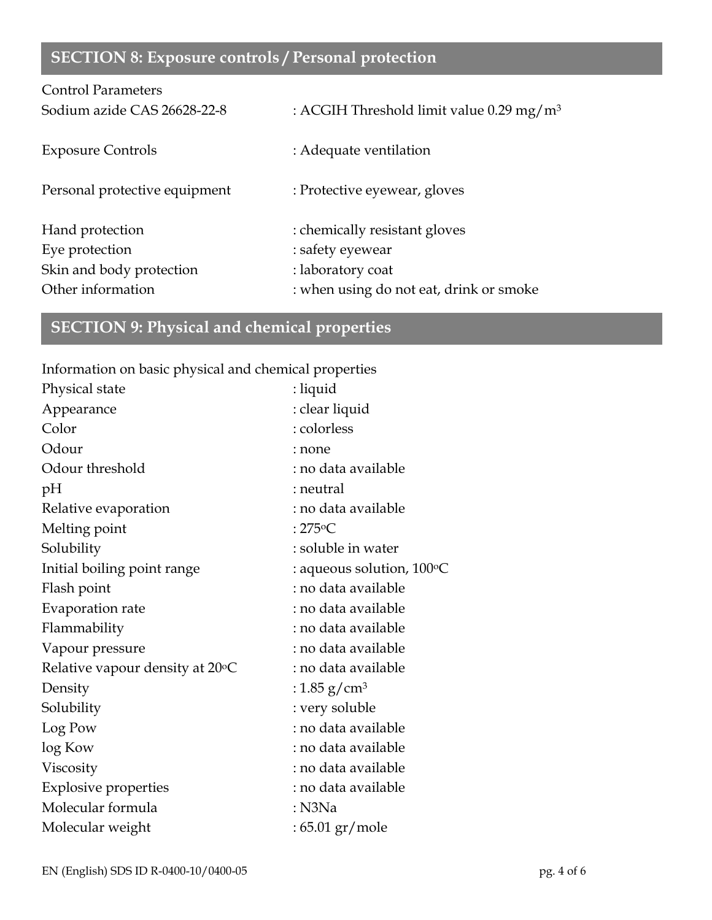# **SECTION 8: Exposure controls / Personal protection**

| <b>Control Parameters</b>     |                                                      |
|-------------------------------|------------------------------------------------------|
| Sodium azide CAS 26628-22-8   | : ACGIH Threshold limit value 0.29 mg/m <sup>3</sup> |
| <b>Exposure Controls</b>      | : Adequate ventilation                               |
| Personal protective equipment | : Protective eyewear, gloves                         |
| Hand protection               | : chemically resistant gloves                        |
| Eye protection                | : safety eyewear                                     |
| Skin and body protection      | : laboratory coat                                    |
| Other information             | : when using do not eat, drink or smoke              |

# **SECTION 9: Physical and chemical properties**

Information on basic physical and chemical properties

| Physical state                  | : liquid                           |
|---------------------------------|------------------------------------|
| Appearance                      | : clear liquid                     |
| Color                           | : colorless                        |
| Odour                           | : none                             |
| Odour threshold                 | : no data available                |
| pH                              | : neutral                          |
| Relative evaporation            | : no data available                |
| Melting point                   | : $275^{\circ}$ C                  |
| Solubility                      | : soluble in water                 |
| Initial boiling point range     | : aqueous solution, $100\degree$ C |
| Flash point                     | : no data available                |
| Evaporation rate                | : no data available                |
| Flammability                    | : no data available                |
| Vapour pressure                 | : no data available                |
| Relative vapour density at 20°C | : no data available                |
| Density                         | : 1.85 g/cm <sup>3</sup>           |
| Solubility                      | : very soluble                     |
| Log Pow                         | : no data available                |
| log Kow                         | : no data available                |
| Viscosity                       | : no data available                |
| <b>Explosive properties</b>     | : no data available                |
| Molecular formula               | $:$ N3Na                           |
| Molecular weight                | : 65.01 gr/mole                    |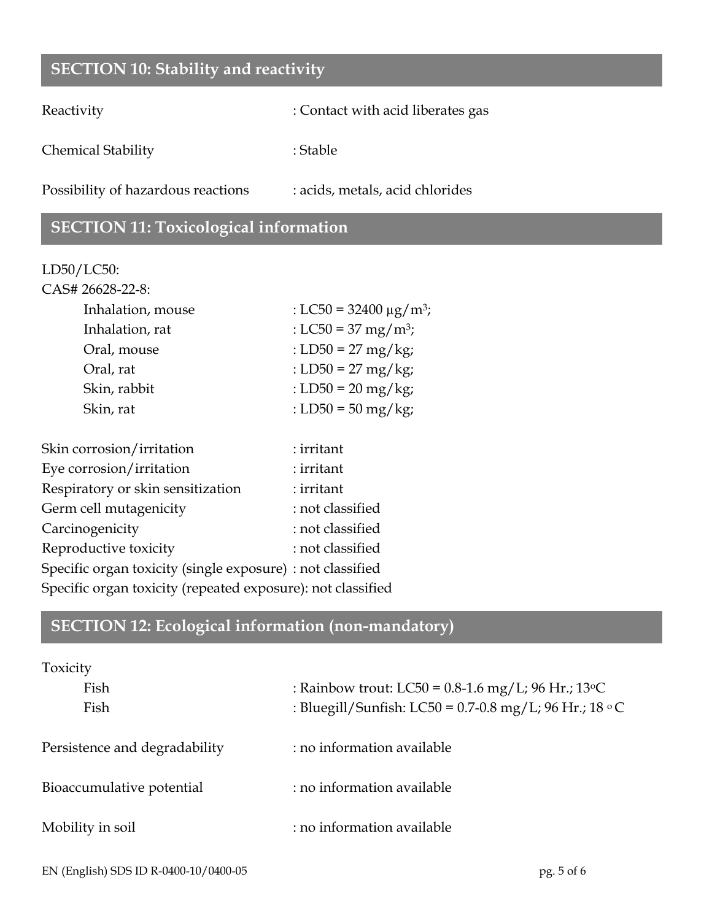## **SECTION 10: Stability and reactivity**

Reactivity : Contact with acid liberates gas

Chemical Stability : Stable : Stable

Possibility of hazardous reactions : acids, metals, acid chlorides

## **SECTION 11: Toxicological information**

#### LD50/LC50:

| CAS# 26628-22-8:  |                                         |
|-------------------|-----------------------------------------|
| Inhalation, mouse | : LC50 = 32400 $\mu$ g/m <sup>3</sup> ; |
| Inhalation, rat   | : LC50 = 37 mg/m <sup>3</sup> ;         |
| Oral, mouse       | : LD50 = 27 mg/kg;                      |
| Oral, rat         | : LD50 = 27 mg/kg;                      |
| Skin, rabbit      | : LD50 = $20 \text{ mg/kg}$ ;           |
| Skin, rat         | : LD50 = 50 mg/kg;                      |
|                   |                                         |

| Skin corrosion/irritation                                   | : irritant       |
|-------------------------------------------------------------|------------------|
| Eye corrosion/irritation                                    | : irritant       |
| Respiratory or skin sensitization                           | : irritant       |
| Germ cell mutagenicity                                      | : not classified |
| Carcinogenicity                                             | : not classified |
| Reproductive toxicity                                       | : not classified |
| Specific organ toxicity (single exposure) : not classified  |                  |
| Specific organ toxicity (repeated exposure): not classified |                  |
|                                                             |                  |

## **SECTION 12: Ecological information (non-mandatory)**

| Toxicity                      |                                                               |  |
|-------------------------------|---------------------------------------------------------------|--|
| Fish                          | : Rainbow trout: LC50 = $0.8$ -1.6 mg/L; 96 Hr.; 13 °C        |  |
| Fish                          | : Bluegill/Sunfish: LC50 = 0.7-0.8 mg/L; 96 Hr.; 18 $\circ$ C |  |
| Persistence and degradability | : no information available                                    |  |
| Bioaccumulative potential     | : no information available                                    |  |
| Mobility in soil              | : no information available                                    |  |